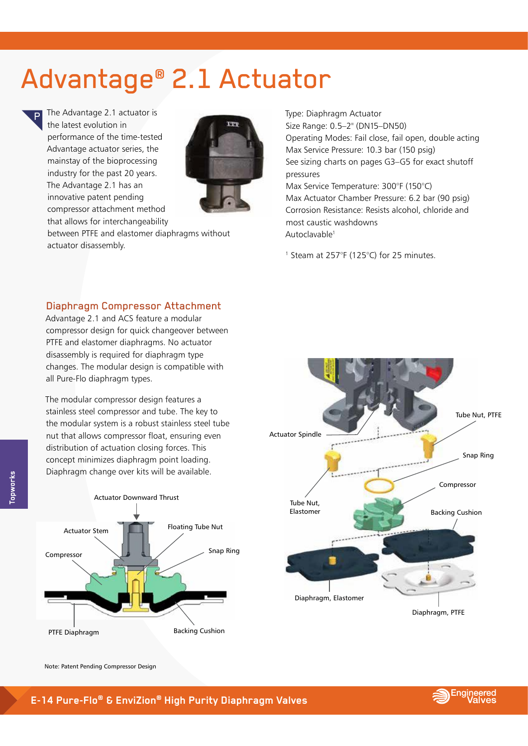## Advantage<sup>®</sup> 2.1 Actuator

The Advantage 2.1 actuator is the latest evolution in performance of the time-tested Advantage actuator series, the mainstay of the bioprocessing industry for the past 20 years. The Advantage 2.1 has an innovative patent pending compressor attachment method that allows for interchangeability



between PTFE and elastomer diaphragms without actuator disassembly.

Type: Diaphragm Actuator<br>Size Bango: 0.5, 2<sup>º</sup> (DN15) Size Range: 0.5–2" (DN15–DN50) Operating Modes: Fail close, fail open, double acting Max Service Pressure: 10.3 bar (150 psig) See sizing charts on pages G3–G5 for exact shutoff pressures Max Service Temperature: 300°F (150°C) Max Actuator Chamber Pressure: 6.2 bar (90 psig) Corrosion Resistance: Resists alcohol, chloride and most caustic washdowns Autoclavable1

1 Steam at 257°F (125°C) for 25 minutes.

## Diaphragm Compressor Attachment

Advantage 2.1 and ACS feature a modular compressor design for quick changeover between PTFE and elastomer diaphragms. No actuator disassembly is required for diaphragm type changes. The modular design is compatible with all Pure-Flo diaphragm types.

The modular compressor design features a stainless steel compressor and tube. The key to the modular system is a robust stainless steel tube nut that allows compressor float, ensuring even distribution of actuation closing forces. This concept minimizes diaphragm point loading. Diaphragm change over kits will be available.





Note: Patent Pending Compressor Design

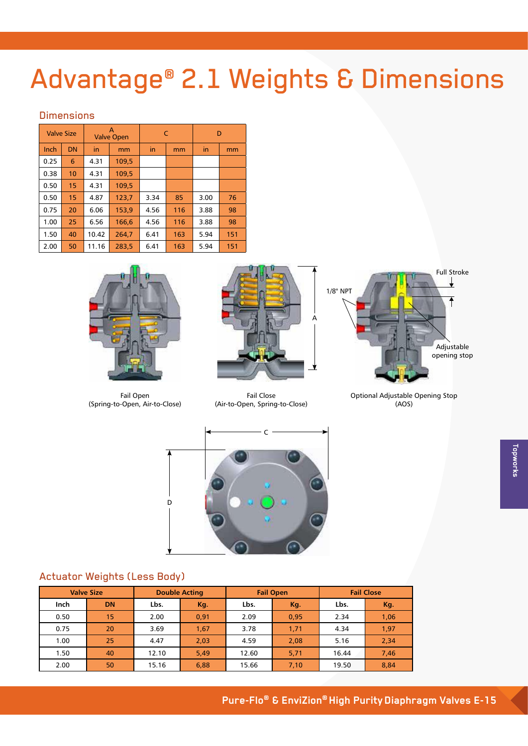# Advantage® 2.1 Weights & Dimensions

### **Dimensions**

| <b>Valve Size</b> |           |       | A<br><b>Valve Open</b> |      | C   | D    |     |  |
|-------------------|-----------|-------|------------------------|------|-----|------|-----|--|
| Inch              | <b>DN</b> | in    | mm                     | in   | mm  | in   | mm  |  |
| 0.25              | 6         | 4.31  | 109.5                  |      |     |      |     |  |
| 0.38              | 10        | 4.31  | 109,5                  |      |     |      |     |  |
| 0.50              | 15        | 4.31  | 109,5                  |      |     |      |     |  |
| 0.50              | 15        | 4.87  | 123,7                  | 3.34 | 85  | 3.00 | 76  |  |
| 0.75              | 20        | 6.06  | 153,9                  | 4.56 | 116 | 3.88 | 98  |  |
| 1.00              | 25        | 6.56  | 166,6                  | 4.56 | 116 | 3.88 | 98  |  |
| 1.50              | 40        | 10.42 | 264,7                  | 6.41 | 163 | 5.94 | 151 |  |
| 2.00              | 50        | 11.16 | 283.5                  | 6.41 | 163 | 5.94 | 151 |  |



Fail Open (Spring-to-Open, Air-to-Close)



**Fail Close** (Air-to-Open, Spring-to-Close)



Optional Adjustable Opening Stop  $(AOS)$ 



## **Actuator Weights (Less Body)**

|      | <b>Valve Size</b> |       | <b>Double Acting</b> |       | <b>Fail Open</b> | <b>Fail Close</b> |      |  |
|------|-------------------|-------|----------------------|-------|------------------|-------------------|------|--|
| Inch | <b>DN</b>         | Lbs.  | Kg.                  | Lbs.  | Kg.              | Lbs.              | Kg.  |  |
| 0.50 | 15                | 2.00  | 0.91                 | 2.09  | 0,95             | 2.34              | 1,06 |  |
| 0.75 | 20                | 3.69  | 1,67                 | 3.78  | 1,71             | 4.34              | 1,97 |  |
| 1.00 | 25                | 4.47  | 2,03                 | 4.59  | 2,08             | 5.16              | 2,34 |  |
| 1.50 | 40                | 12.10 | 5,49                 | 12.60 | 5,71             | 16.44             | 7,46 |  |
| 2.00 | 50                | 15.16 | 6,88                 | 15.66 | 7,10             | 19.50             | 8,84 |  |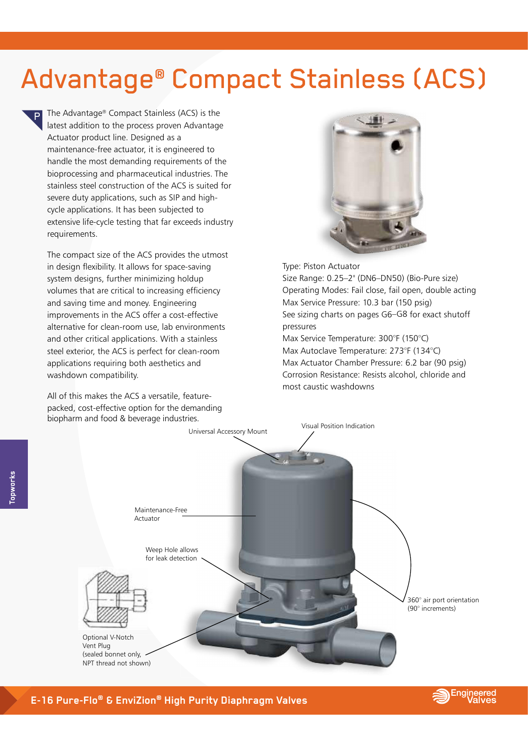## **Advantage<sup>®</sup> Compact Stainless (ACS)**

The Advantage® Compact Stainless (ACS) is the latest addition to the process proven Advantage Actuator product line. Designed as a maintenance-free actuator, it is engineered to handle the most demanding requirements of the bioprocessing and pharmaceutical industries. The stainless steel construction of the ACS is suited for severe duty applications, such as SIP and highcycle applications. It has been subjected to extensive life-cycle testing that far exceeds industry requirements.

The compact size of the ACS provides the utmost in design flexibility. It allows for space-saving system designs, further minimizing holdup volumes that are critical to increasing efficiency and saving time and money. Engineering improvements in the ACS offer a cost-effective alternative for clean-room use, lab environments and other critical applications. With a stainless steel exterior, the ACS is perfect for clean-room applications requiring both aesthetics and washdown compatibility.

All of this makes the ACS a versatile, featurepacked, cost-effective option for the demanding biopharm and food & beverage industries.



Type: Piston Actuator

Size Range: 0.25-2" (DN6-DN50) (Bio-Pure size) Operating Modes: Fail close, fail open, double acting Max Service Pressure: 10.3 bar (150 psig) See sizing charts on pages G6-G8 for exact shutoff pressures

Max Service Temperature: 300°F (150°C) Max Autoclave Temperature: 273°F (134°C) Max Actuator Chamber Pressure: 6.2 bar (90 psig) Corrosion Resistance: Resists alcohol, chloride and most caustic washdowns



**opworks** 

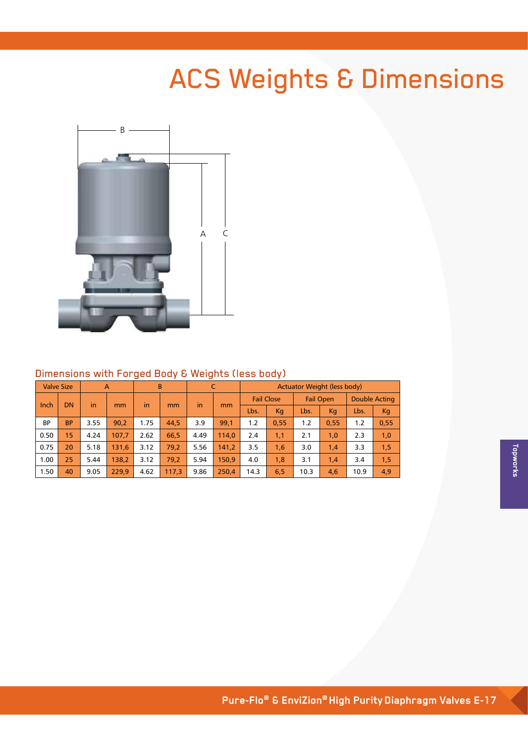# **ACS Weights & Dimensions**



#### Dimensions with Forged Body & Weights (less body)

| <b>Valve Size</b><br>$\overline{A}$ |           |      |       | B    | C     |      | <b>Actuator Weight (less body)</b> |                   |      |                  |      |                      |      |
|-------------------------------------|-----------|------|-------|------|-------|------|------------------------------------|-------------------|------|------------------|------|----------------------|------|
|                                     | <b>DN</b> | in   |       |      |       | in   |                                    | <b>Fail Close</b> |      | <b>Fail Open</b> |      | <b>Double Acting</b> |      |
| Inch                                |           |      | mm    | in   | mm    |      | mm                                 | Lbs.              | Kq   | Lbs.             | Kg   | Lbs.                 | Kg   |
| <b>BP</b>                           | <b>BP</b> | 3.55 | 90.2  | 1.75 | 44.5  | 3.9  | 99.1                               | 1.2               | 0.55 | 1.2              | 0.55 | 1.2                  | 0,55 |
| 0.50                                | 15        | 4.24 | 107,7 | 2.62 | 66.5  | 4.49 | 114,0                              | 2.4               | 1,1  | 2.1              | 1,0  | 2.3                  | 1,0  |
| 0.75                                | 20        | 5.18 | 131.6 | 3.12 | 79.2  | 5.56 | 141,2                              | 3.5               | 1,6  | 3.0              | 1,4  | 3.3                  | 1,5  |
| 1.00                                | 25        | 5.44 | 138.2 | 3.12 | 79.2  | 5.94 | 150.9                              | 4.0               | 1,8  | 3.1              | 1,4  | 3.4                  | 1,5  |
| 1.50                                | 40        | 9.05 | 229.9 | 4.62 | 117,3 | 9.86 | 250.4                              | 14.3              | 6,5  | 10.3             | 4,6  | 10.9                 | 4,9  |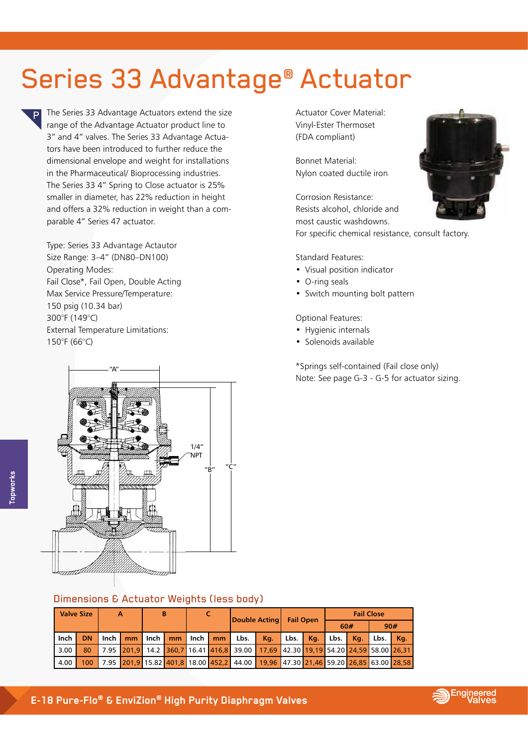# Series 33 Advantage<sup>®</sup> Actuator

The Series 33 Advantage Actuators extend the size range of the Advantage Actuator product line to 3" and 4" valves. The Series 33 Advantage Actuators have been introduced to further reduce the dimensional envelope and weight for installations in the Pharmaceutical/ Bioprocessing industries. The Series 33 4" Spring to Close actuator is 25% smaller in diameter, has 22% reduction in height and offers a 32% reduction in weight than a comparable 4" Series 47 actuator.

Type: Series 33 Advantage Actautor Size Range: 3–4" (DN80–DN100) Operating Modes: Fail Close\*, Fail Open, Double Acting Max Service Pressure/Temperature: 150 psig (10.34 bar) 300°F (149°C) External Temperature Limitations: 150°F (66°C)

Actuator Cover Material: Vinyl-Ester Thermoset (FDA compliant)

Bonnet Material: Nylon coated ductile iron

Corrosion Resistance: Resists alcohol, chloride and most caustic washdowns.

For specific chemical resistance, consult factory.

#### Standard Features:

- Visual position indicator
- O-ring seals
- Switch mounting bolt pattern

Optional Features:

- Hygienic internals
- Solenoids available

\*Springs self-contained (Fail close only) Note: See page G-3 - G-5 for actuator sizing.



### Dimensions & Actuator Weights (less body)

| <b>Valve Size</b> |                  | A |             | в |  |  |  | Double Acting Fail Open                                                            |     |                   |  | <b>Fail Close</b> |  |                              |  |
|-------------------|------------------|---|-------------|---|--|--|--|------------------------------------------------------------------------------------|-----|-------------------|--|-------------------|--|------------------------------|--|
|                   |                  |   |             |   |  |  |  |                                                                                    |     |                   |  | 60#               |  | 90#                          |  |
| <b>Inch</b>       | DN.              |   | $lnch$ $mm$ |   |  |  |  | I Inch I mm I Inch I mm I Lbs. I                                                   | Kq. | Lbs. Kg. Lbs. Kg. |  |                   |  | $\mathsf{Lbs.} \mathsf{Kq.}$ |  |
| 3.00              | 80               |   |             |   |  |  |  | 7.95 201,9 14.2 360,7 16.41 416,8 39.00 17,69 42.30 19,19 54.20 24,59 58.00 26,31  |     |                   |  |                   |  |                              |  |
| 4.00              | 100 <sup>1</sup> |   |             |   |  |  |  | 7.95 201,9 15.82 401,8 18.00 452,2 44.00 19,96 47.30 21,46 59.20 26,85 63.00 28,58 |     |                   |  |                   |  |                              |  |





Ð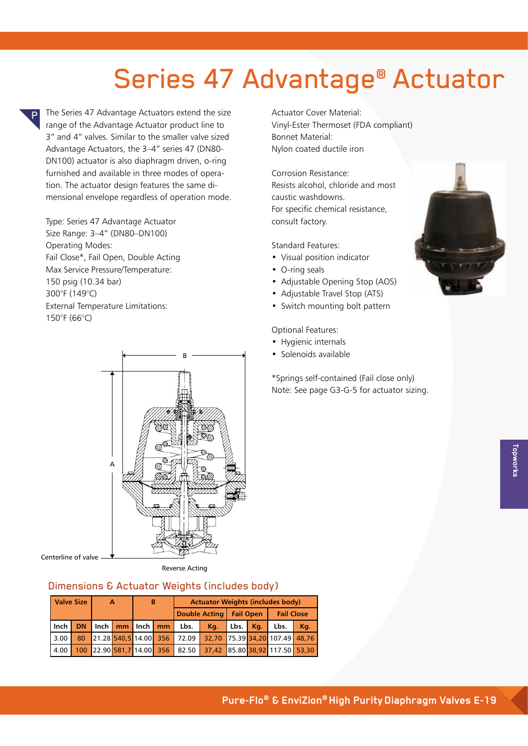# Series 47 Advantage<sup>®</sup> Actuator

The Series 47 Advantage Actuators extend the size range of the Advantage Actuator product line to 3" and 4" valves. Similar to the smaller valve sized Advantage Actuators, the 3–4" series 47 (DN80- DN100) actuator is also diaphragm driven, o-ring furnished and available in three modes of operation. The actuator design features the same dimensional envelope regardless of operation mode.

Type: Series 47 Advantage Actuator Size Range: 3–4" (DN80–DN100) Operating Modes: Fail Close\*, Fail Open, Double Acting Max Service Pressure/Temperature: 150 psig (10.34 bar) 300°F (149°C) External Temperature Limitations: 150°F (66°C)

Ð



Centerline of valve

Reverse Acting

## Dimensions & Actuator Weights (includes body)

| <b>Valve Size</b> |  | $\mathbf{A}$ |  | <b>B</b> |  | <b>Actuator Weights (includes body)</b> |                                |                  |  |                   |     |  |  |
|-------------------|--|--------------|--|----------|--|-----------------------------------------|--------------------------------|------------------|--|-------------------|-----|--|--|
|                   |  |              |  |          |  |                                         | Double Acting                  | <b>Fail Open</b> |  | <b>Fail Close</b> |     |  |  |
| lnch              |  |              |  |          |  | DN Inch   mm   Inch   mm   Lbs.         | Kg.                            | Lbs. Kg.         |  | Lbs.              | Kq. |  |  |
| 3.00              |  |              |  |          |  | 80 21.28 540,5 14.00 356 72.09          | 32,70 75.39 34,20 107.49 48,76 |                  |  |                   |     |  |  |
| 4.00              |  |              |  |          |  | 100 22.90 581,7 14.00 356 82.50         | 37,42 85.80 38,92 117.50 53,30 |                  |  |                   |     |  |  |

Actuator Cover Material: Vinyl-Ester Thermoset (FDA compliant) Bonnet Material: Nylon coated ductile iron

Corrosion Resistance: Resists alcohol, chloride and most caustic washdowns. For specific chemical resistance, consult factory.

Standard Features:

- Visual position indicator
- O-ring seals
- Adjustable Opening Stop (AOS)
- Adjustable Travel Stop (ATS)
- Switch mounting bolt pattern

#### Optional Features:

- Hygienic internals
- Solenoids available

\*Springs self-contained (Fail close only) Note: See page G3-G-5 for actuator sizing.